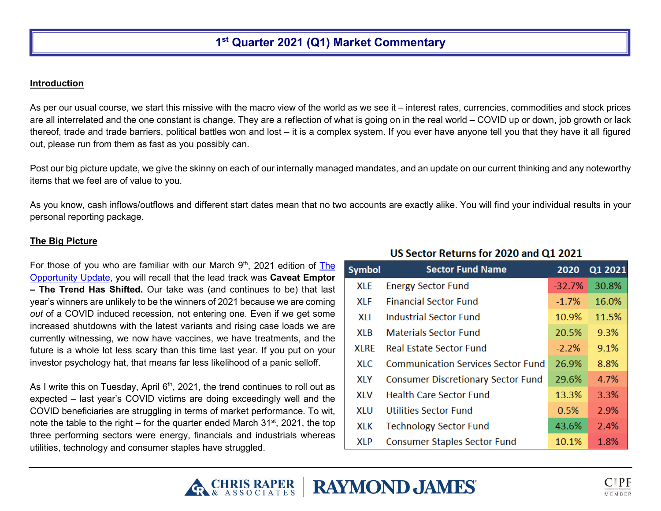### **Introduction**

As per our usual course, we start this missive with the macro view of the world as we see it – interest rates, currencies, commodities and stock prices are all interrelated and the one constant is change. They are a reflection of what is going on in the real world – COVID up or down, job growth or lack thereof, trade and trade barriers, political battles won and lost – it is a complex system. If you ever have anyone tell you that they have it all figured out, please run from them as fast as you possibly can.

Post our big picture update, we give the skinny on each of our internally managed mandates, and an update on our current thinking and any noteworthy items that we feel are of value to you.

As you know, cash inflows/outflows and different start dates mean that no two accounts are exactly alike. You will find your individual results in your personal reporting package.

### **The Big Picture**

For those of you who are familiar with our March  $9<sup>th</sup>$ , 2021 edition of The [Opportunity Update,](http://www.chrisraper.com/the-opportunity-update.aspx) you will recall that the lead track was **Caveat Emptor – The Trend Has Shifted.** Our take was (and continues to be) that last year's winners are unlikely to be the winners of 2021 because we are coming *out* of a COVID induced recession, not entering one. Even if we get some increased shutdowns with the latest variants and rising case loads we are currently witnessing, we now have vaccines, we have treatments, and the future is a whole lot less scary than this time last year. If you put on your investor psychology hat, that means far less likelihood of a panic selloff.

As I write this on Tuesday, April  $6<sup>th</sup>$ , 2021, the trend continues to roll out as expected – last year's COVID victims are doing exceedingly well and the COVID beneficiaries are struggling in terms of market performance. To wit, note the table to the right – for the quarter ended March  $31<sup>st</sup>$ , 2021, the top three performing sectors were energy, financials and industrials whereas utilities, technology and consumer staples have struggled.

| <b>Symbol</b> | <b>Sector Fund Name</b>                   | 2020     | Q1 2021 |
|---------------|-------------------------------------------|----------|---------|
| <b>XLE</b>    | <b>Energy Sector Fund</b>                 | $-32.7%$ | 30.8%   |
| <b>XLF</b>    | <b>Financial Sector Fund</b>              | $-1.7%$  | 16.0%   |
| XLI           | Industrial Sector Fund                    | 10.9%    | 11.5%   |
| <b>XLB</b>    | <b>Materials Sector Fund</b>              | 20.5%    | 9.3%    |
| <b>XLRE</b>   | Real Estate Sector Fund                   | $-2.2%$  | 9.1%    |
| <b>XLC</b>    | <b>Communication Services Sector Fund</b> | 26.9%    | 8.8%    |
| <b>XLY</b>    | <b>Consumer Discretionary Sector Fund</b> | 29.6%    | 4.7%    |
| <b>XLV</b>    | <b>Health Care Sector Fund</b>            | 13.3%    | 3.3%    |
| <b>XLU</b>    | <b>Utilities Sector Fund</b>              | 0.5%     | 2.9%    |
| <b>XLK</b>    | <b>Technology Sector Fund</b>             | 43.6%    | 2.4%    |
| <b>XLP</b>    | <b>Consumer Staples Sector Fund</b>       | 10.1%    | 1.8%    |
|               |                                           |          |         |

# US Sector Returns for 2020 and Q1 2021



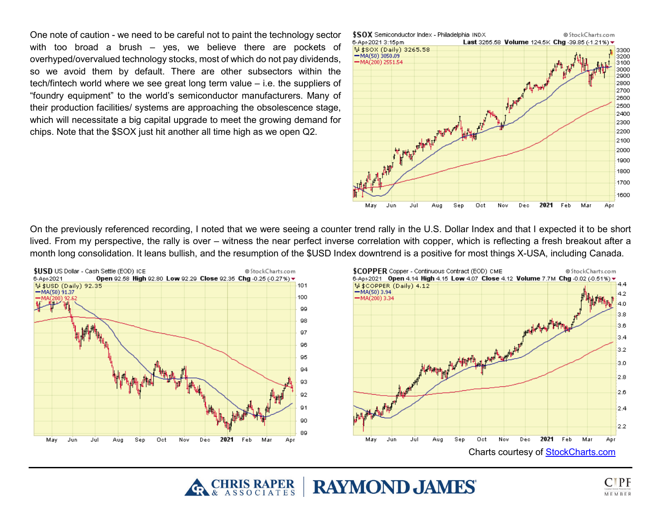One note of caution - we need to be careful not to paint the technology sector with too broad a brush – yes, we believe there are pockets of overhyped/overvalued technology stocks, most of which do not pay dividends, so we avoid them by default. There are other subsectors within the tech/fintech world where we see great long term value – i.e. the suppliers of "foundry equipment" to the world's semiconductor manufacturers. Many of their production facilities/ systems are approaching the obsolescence stage, which will necessitate a big capital upgrade to meet the growing demand for chips. Note that the \$SOX just hit another all time high as we open Q2.



On the previously referenced recording, I noted that we were seeing a counter trend rally in the U.S. Dollar Index and that I expected it to be short lived. From my perspective, the rally is over – witness the near perfect inverse correlation with copper, which is reflecting a fresh breakout after a month long consolidation. It leans bullish, and the resumption of the \$USD Index downtrend is a positive for most things X-USA, including Canada.







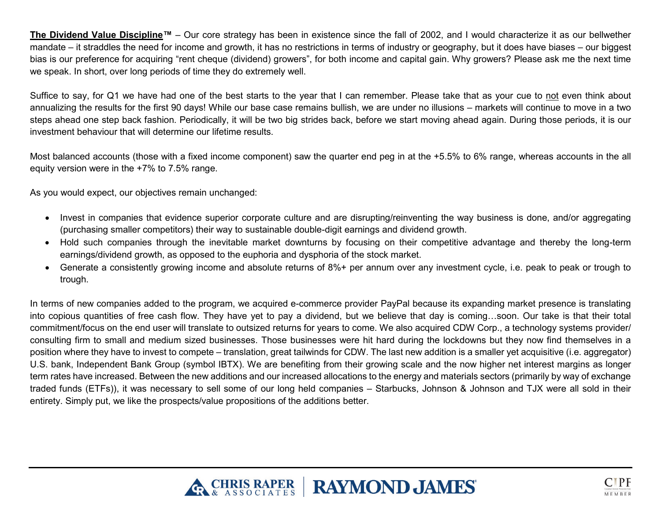**The Dividend Value Discipline™** – Our core strategy has been in existence since the fall of 2002, and I would characterize it as our bellwether mandate – it straddles the need for income and growth, it has no restrictions in terms of industry or geography, but it does have biases – our biggest bias is our preference for acquiring "rent cheque (dividend) growers", for both income and capital gain. Why growers? Please ask me the next time we speak. In short, over long periods of time they do extremely well.

Suffice to say, for Q1 we have had one of the best starts to the year that I can remember. Please take that as your cue to not even think about annualizing the results for the first 90 days! While our base case remains bullish, we are under no illusions – markets will continue to move in a two steps ahead one step back fashion. Periodically, it will be two big strides back, before we start moving ahead again. During those periods, it is our investment behaviour that will determine our lifetime results.

Most balanced accounts (those with a fixed income component) saw the quarter end peg in at the +5.5% to 6% range, whereas accounts in the all equity version were in the +7% to 7.5% range.

As you would expect, our objectives remain unchanged:

- Invest in companies that evidence superior corporate culture and are disrupting/reinventing the way business is done, and/or aggregating (purchasing smaller competitors) their way to sustainable double-digit earnings and dividend growth.
- Hold such companies through the inevitable market downturns by focusing on their competitive advantage and thereby the long-term earnings/dividend growth, as opposed to the euphoria and dysphoria of the stock market.
- Generate a consistently growing income and absolute returns of 8%+ per annum over any investment cycle, i.e. peak to peak or trough to trough.

In terms of new companies added to the program, we acquired e-commerce provider PayPal because its expanding market presence is translating into copious quantities of free cash flow. They have yet to pay a dividend, but we believe that day is coming…soon. Our take is that their total commitment/focus on the end user will translate to outsized returns for years to come. We also acquired CDW Corp., a technology systems provider/ consulting firm to small and medium sized businesses. Those businesses were hit hard during the lockdowns but they now find themselves in a position where they have to invest to compete – translation, great tailwinds for CDW. The last new addition is a smaller yet acquisitive (i.e. aggregator) U.S. bank, Independent Bank Group (symbol IBTX). We are benefiting from their growing scale and the now higher net interest margins as longer term rates have increased. Between the new additions and our increased allocations to the energy and materials sectors (primarily by way of exchange traded funds (ETFs)), it was necessary to sell some of our long held companies – Starbucks, Johnson & Johnson and TJX were all sold in their entirety. Simply put, we like the prospects/value propositions of the additions better.



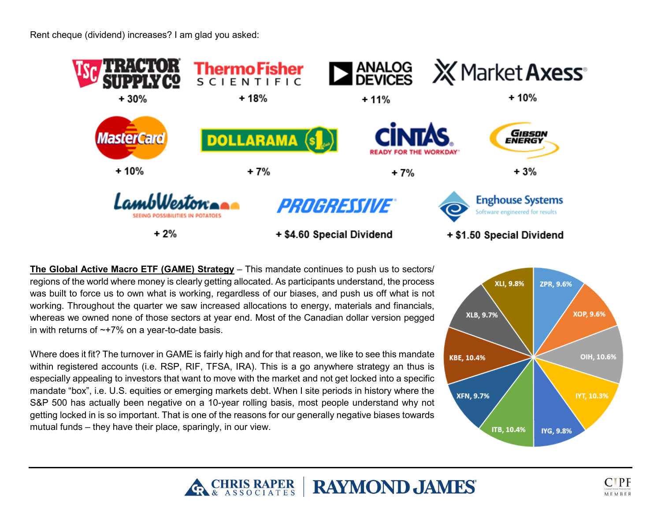Rent cheque (dividend) increases? I am glad you asked:



**The Global Active Macro ETF (GAME) Strategy** – This mandate continues to push us to sectors/ regions of the world where money is clearly getting allocated. As participants understand, the process was built to force us to own what is working, regardless of our biases, and push us off what is not working. Throughout the quarter we saw increased allocations to energy, materials and financials, whereas we owned none of those sectors at year end. Most of the Canadian dollar version pegged in with returns of ~+7% on a year-to-date basis.

Where does it fit? The turnover in GAME is fairly high and for that reason, we like to see this mandate within registered accounts (i.e. RSP, RIF, TFSA, IRA). This is a go anywhere strategy an thus is especially appealing to investors that want to move with the market and not get locked into a specific mandate "box", i.e. U.S. equities or emerging markets debt. When I site periods in history where the S&P 500 has actually been negative on a 10-year rolling basis, most people understand why not getting locked in is so important. That is one of the reasons for our generally negative biases towards mutual funds – they have their place, sparingly, in our view.





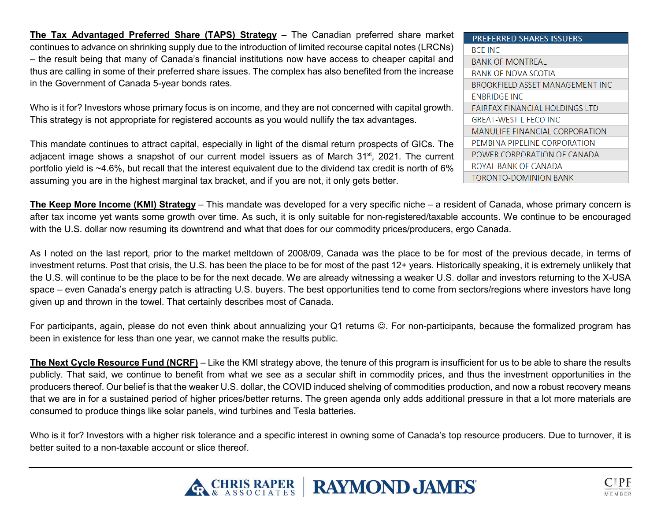**The Tax Advantaged Preferred Share (TAPS) Strategy** – The Canadian preferred share market continues to advance on shrinking supply due to the introduction of limited recourse capital notes (LRCNs) – the result being that many of Canada's financial institutions now have access to cheaper capital and thus are calling in some of their preferred share issues. The complex has also benefited from the increase in the Government of Canada 5-year bonds rates.

Who is it for? Investors whose primary focus is on income, and they are not concerned with capital growth. This strategy is not appropriate for registered accounts as you would nullify the tax advantages.

This mandate continues to attract capital, especially in light of the dismal return prospects of GICs. The adjacent image shows a snapshot of our current model issuers as of March 31<sup>st</sup>, 2021. The current portfolio yield is ~4.6%, but recall that the interest equivalent due to the dividend tax credit is north of 6% assuming you are in the highest marginal tax bracket, and if you are not, it only gets better.

**The Keep More Income (KMI) Strategy** – This mandate was developed for a very specific niche – a resident of Canada, whose primary concern is after tax income yet wants some growth over time. As such, it is only suitable for non-registered/taxable accounts. We continue to be encouraged with the U.S. dollar now resuming its downtrend and what that does for our commodity prices/producers, ergo Canada.

As I noted on the last report, prior to the market meltdown of 2008/09, Canada was the place to be for most of the previous decade, in terms of investment returns. Post that crisis, the U.S. has been the place to be for most of the past 12+ years. Historically speaking, it is extremely unlikely that the U.S. will continue to be the place to be for the next decade. We are already witnessing a weaker U.S. dollar and investors returning to the X-USA space – even Canada's energy patch is attracting U.S. buyers. The best opportunities tend to come from sectors/regions where investors have long given up and thrown in the towel. That certainly describes most of Canada.

For participants, again, please do not even think about annualizing your Q1 returns ©. For non-participants, because the formalized program has been in existence for less than one year, we cannot make the results public.

**The Next Cycle Resource Fund (NCRF)** – Like the KMI strategy above, the tenure of this program is insufficient for us to be able to share the results publicly. That said, we continue to benefit from what we see as a secular shift in commodity prices, and thus the investment opportunities in the producers thereof. Our belief is that the weaker U.S. dollar, the COVID induced shelving of commodities production, and now a robust recovery means that we are in for a sustained period of higher prices/better returns. The green agenda only adds additional pressure in that a lot more materials are consumed to produce things like solar panels, wind turbines and Tesla batteries.

Who is it for? Investors with a higher risk tolerance and a specific interest in owning some of Canada's top resource producers. Due to turnover, it is better suited to a non-taxable account or slice thereof.